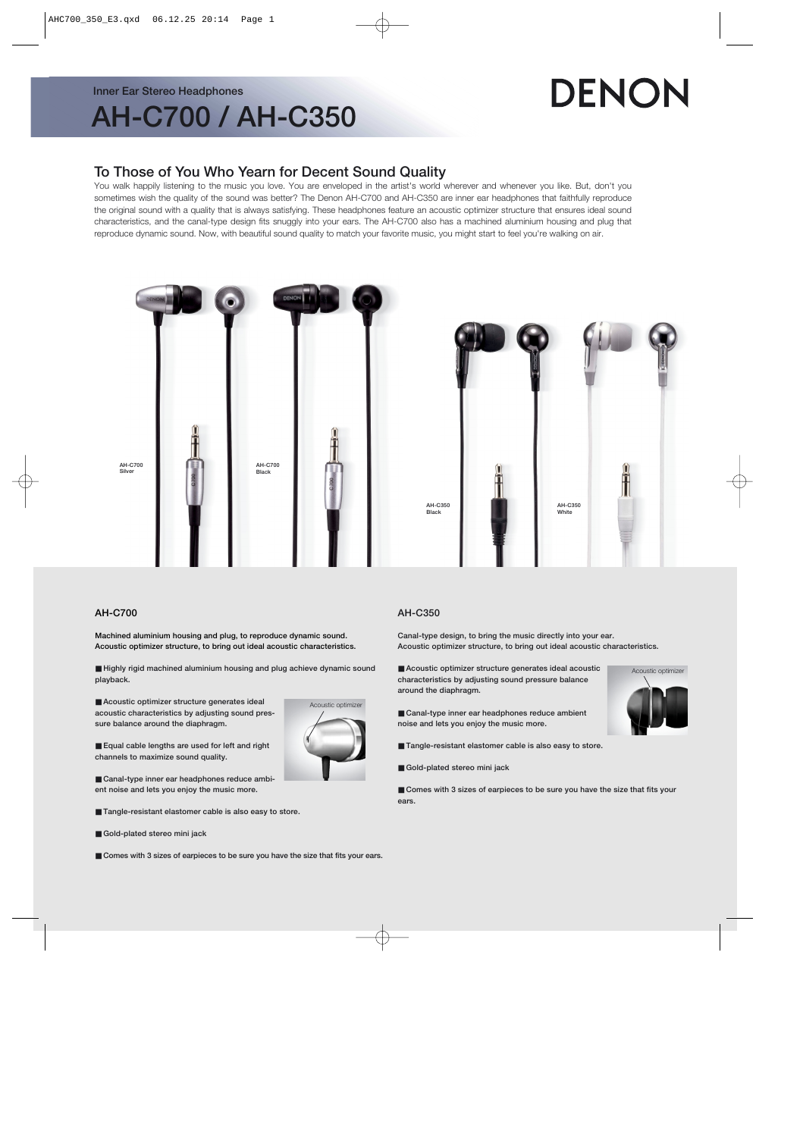#### **Inner Ear Stereo Headphones**

# **AH-C700 / AH-C350**

# DENON

### **To Those of You Who Yearn for Decent Sound Quality**

You walk happily listening to the music you love. You are enveloped in the artist's world wherever and whenever you like. But, don't you sometimes wish the quality of the sound was better? The Denon AH-C700 and AH-C350 are inner ear headphones that faithfully reproduce the original sound with a quality that is always satisfying. These headphones feature an acoustic optimizer structure that ensures ideal sound characteristics, and the canal-type design fits snuggly into your ears. The AH-C700 also has a machined aluminium housing and plug that reproduce dynamic sound. Now, with beautiful sound quality to match your favorite music, you might start to feel you're walking on air.





#### **AH-C700**

**Machined aluminium housing and plug, to reproduce dynamic sound. Acoustic optimizer structure, to bring out ideal acoustic characteristics.**

■ Highly rigid machined aluminium housing and plug achieve dynamic sound **playback.**

■ Acoustic optimizer structure generates ideal **acoustic characteristics by adjusting sound pressure balance around the diaphragm.**



■ **Equal cable lengths are used for left and right channels to maximize sound quality.**

■ Canal-type inner ear headphones reduce ambi**ent noise and lets you enjoy the music more.**

- **Tangle-resistant elastomer cable is also easy to store.**
- **Gold-plated stereo mini jack**

#### ■ Comes with 3 sizes of earpieces to be sure you have the size that fits your ears.

#### **AH-C350**

**Canal-type design, to bring the music directly into your ear. Acoustic optimizer structure, to bring out ideal acoustic characteristics.**

■ Acoustic optimizer structure generates ideal acoustic **characteristics by adjusting sound pressure balance around the diaphragm.**



- Canal-type inner ear headphones reduce ambient **noise and lets you enjoy the music more.**
- **Tangle-resistant elastomer cable is also easy to store.**
- Gold-plated stereo mini jack

■ Comes with 3 sizes of earpieces to be sure you have the size that fits your **ears.**